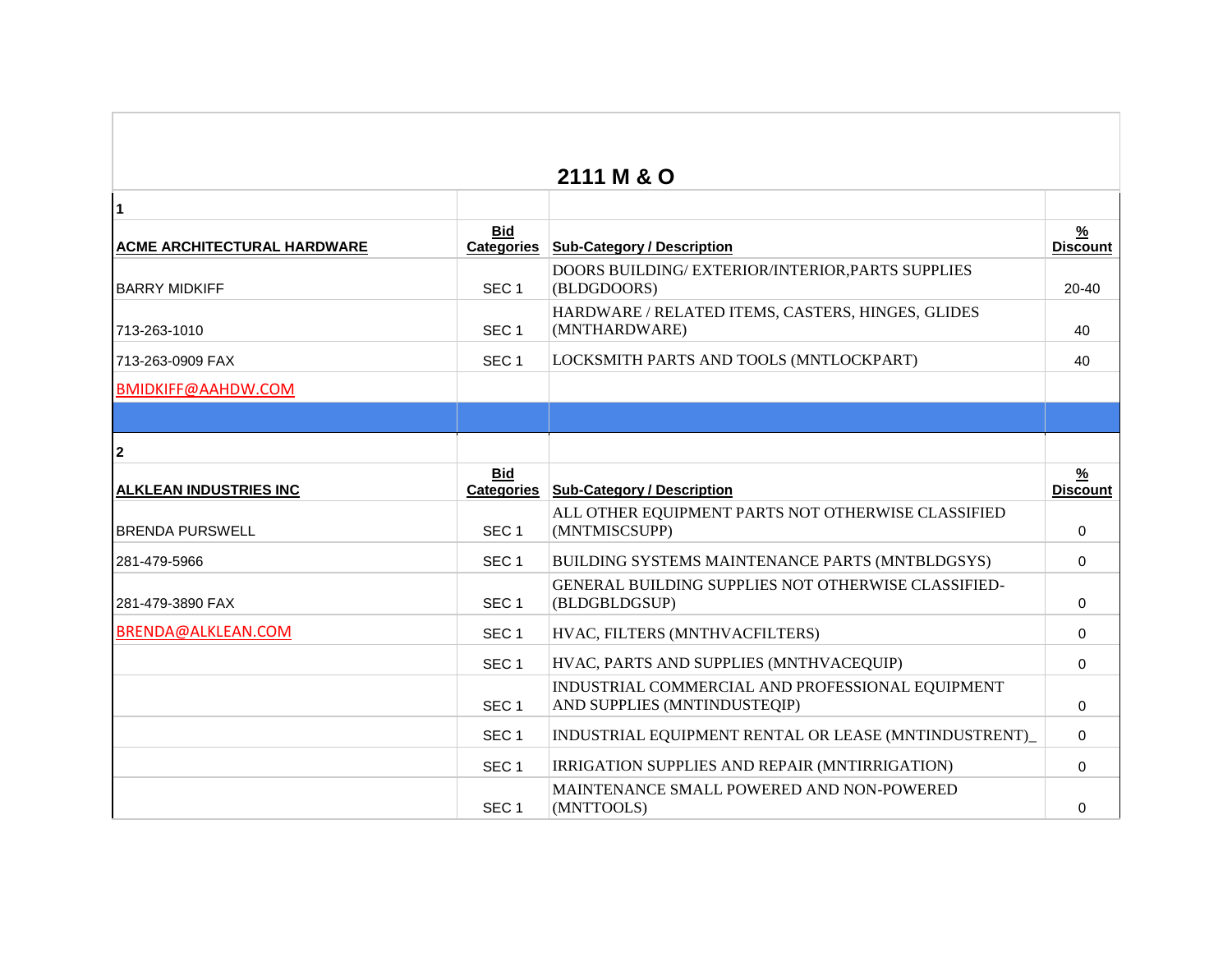|                               |                                 | 2111 M & O                                                                       |                                  |
|-------------------------------|---------------------------------|----------------------------------------------------------------------------------|----------------------------------|
| $\overline{1}$                |                                 |                                                                                  |                                  |
| ACME ARCHITECTURAL HARDWARE   | <b>Bid</b><br><b>Categories</b> | <b>Sub-Category / Description</b>                                                | $\frac{9}{6}$<br><b>Discount</b> |
| <b>BARRY MIDKIFF</b>          | SEC <sub>1</sub>                | DOORS BUILDING/ EXTERIOR/INTERIOR, PARTS SUPPLIES<br>(BLDGDOORS)                 | 20-40                            |
| 713-263-1010                  | SEC <sub>1</sub>                | HARDWARE / RELATED ITEMS, CASTERS, HINGES, GLIDES<br>(MNTHARDWARE)               | 40                               |
| 713-263-0909 FAX              | SEC <sub>1</sub>                | LOCKSMITH PARTS AND TOOLS (MNTLOCKPART)                                          | 40                               |
| <b>BMIDKIFF@AAHDW.COM</b>     |                                 |                                                                                  |                                  |
|                               |                                 |                                                                                  |                                  |
| $\overline{2}$                |                                 |                                                                                  |                                  |
| <b>ALKLEAN INDUSTRIES INC</b> | <b>Bid</b><br><b>Categories</b> | <b>Sub-Category / Description</b>                                                | <u>%</u><br><b>Discount</b>      |
| <b>BRENDA PURSWELL</b>        | SEC <sub>1</sub>                | ALL OTHER EQUIPMENT PARTS NOT OTHERWISE CLASSIFIED<br>(MNTMISCSUPP)              | 0                                |
| 281-479-5966                  | SEC <sub>1</sub>                | BUILDING SYSTEMS MAINTENANCE PARTS (MNTBLDGSYS)                                  | $\Omega$                         |
| 281-479-3890 FAX              | SEC <sub>1</sub>                | GENERAL BUILDING SUPPLIES NOT OTHERWISE CLASSIFIED-<br>(BLDGBLDGSUP)             | 0                                |
| BRENDA@ALKLEAN.COM            | SEC <sub>1</sub>                | HVAC, FILTERS (MNTHVACFILTERS)                                                   | 0                                |
|                               | SEC <sub>1</sub>                | HVAC, PARTS AND SUPPLIES (MNTHVACEQUIP)                                          | $\mathbf 0$                      |
|                               | SEC <sub>1</sub>                | INDUSTRIAL COMMERCIAL AND PROFESSIONAL EQUIPMENT<br>AND SUPPLIES (MNTINDUSTEQIP) | $\mathbf 0$                      |
|                               | SEC <sub>1</sub>                | INDUSTRIAL EQUIPMENT RENTAL OR LEASE (MNTINDUSTRENT)                             | $\mathbf 0$                      |
|                               | SEC <sub>1</sub>                | IRRIGATION SUPPLIES AND REPAIR (MNTIRRIGATION)                                   | 0                                |
|                               | SEC <sub>1</sub>                | MAINTENANCE SMALL POWERED AND NON-POWERED<br>(MNTTOOLS)                          | $\Omega$                         |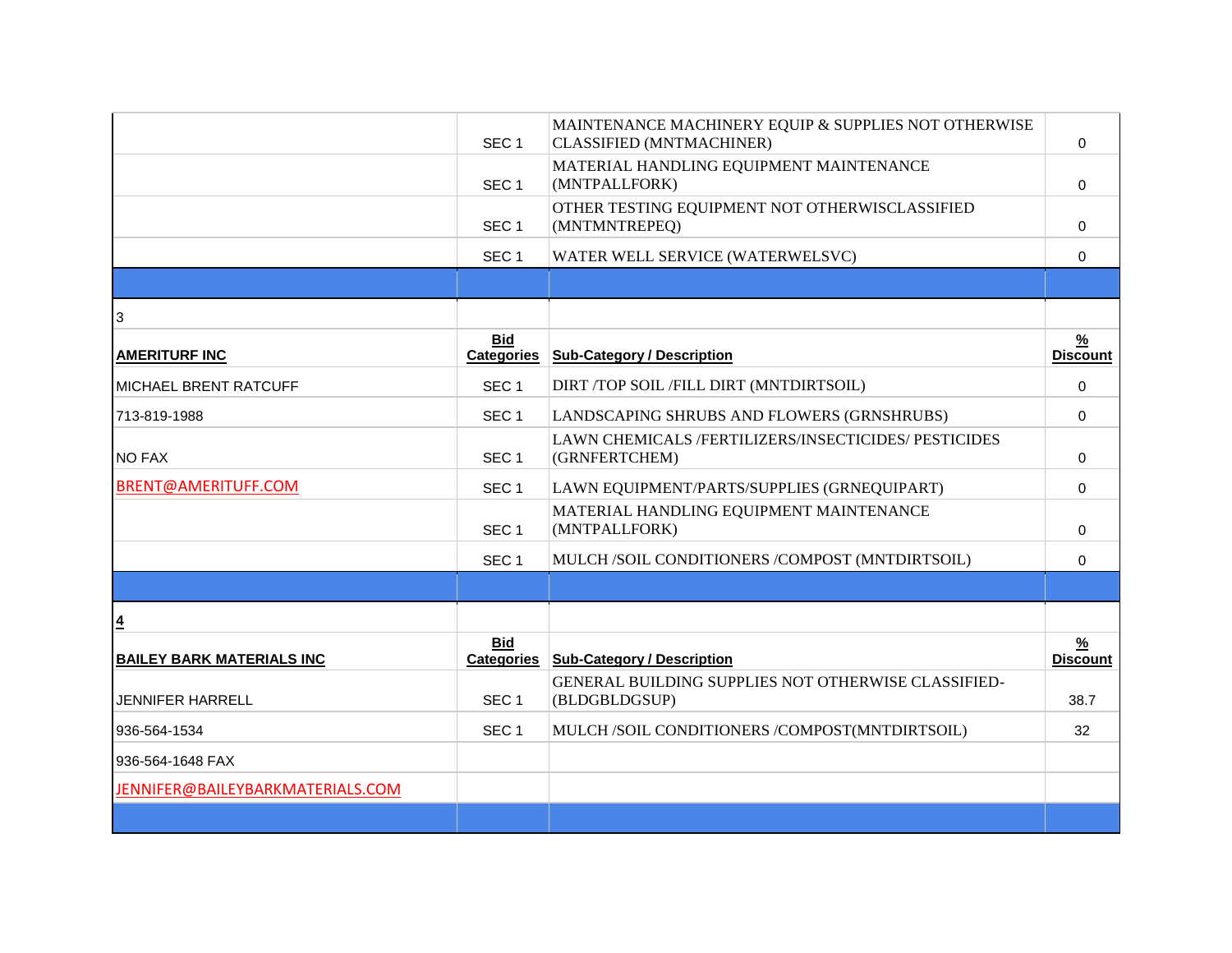|                                  | SEC <sub>1</sub>                | MAINTENANCE MACHINERY EQUIP & SUPPLIES NOT OTHERWISE<br><b>CLASSIFIED (MNTMACHINER)</b> | $\Omega$                         |
|----------------------------------|---------------------------------|-----------------------------------------------------------------------------------------|----------------------------------|
|                                  | SEC <sub>1</sub>                | MATERIAL HANDLING EQUIPMENT MAINTENANCE<br>(MNTPALLFORK)                                | $\Omega$                         |
|                                  | SEC <sub>1</sub>                | OTHER TESTING EQUIPMENT NOT OTHERWISCLASSIFIED<br>(MNTMNTREPEQ)                         | $\Omega$                         |
|                                  | SEC <sub>1</sub>                | WATER WELL SERVICE (WATERWELSVC)                                                        | 0                                |
|                                  |                                 |                                                                                         |                                  |
| 3                                |                                 |                                                                                         |                                  |
| <b>AMERITURF INC</b>             | <b>Bid</b><br><b>Categories</b> | <b>Sub-Category / Description</b>                                                       | $\frac{9}{6}$<br><b>Discount</b> |
| <b>MICHAEL BRENT RATCUFF</b>     | SEC <sub>1</sub>                | DIRT /TOP SOIL /FILL DIRT (MNTDIRTSOIL)                                                 | $\Omega$                         |
| 713-819-1988                     | SEC <sub>1</sub>                | LANDSCAPING SHRUBS AND FLOWERS (GRNSHRUBS)                                              | 0                                |
| <b>NO FAX</b>                    | SEC <sub>1</sub>                | LAWN CHEMICALS /FERTILIZERS/INSECTICIDES/ PESTICIDES<br>(GRNFERTCHEM)                   | $\Omega$                         |
| <b>BRENT@AMERITUFF.COM</b>       | SEC <sub>1</sub>                | LAWN EQUIPMENT/PARTS/SUPPLIES (GRNEQUIPART)                                             | 0                                |
|                                  | SEC <sub>1</sub>                | MATERIAL HANDLING EQUIPMENT MAINTENANCE<br>(MNTPALLFORK)                                | $\Omega$                         |
|                                  | SEC <sub>1</sub>                | MULCH /SOIL CONDITIONERS /COMPOST (MNTDIRTSOIL)                                         | $\Omega$                         |
|                                  |                                 |                                                                                         |                                  |
| $\overline{4}$                   |                                 |                                                                                         |                                  |
| <b>BAILEY BARK MATERIALS INC</b> | <b>Bid</b><br><b>Categories</b> | <b>Sub-Category / Description</b>                                                       | $\frac{9}{6}$<br><b>Discount</b> |
| <b>JENNIFER HARRELL</b>          | SEC <sub>1</sub>                | GENERAL BUILDING SUPPLIES NOT OTHERWISE CLASSIFIED-<br>(BLDGBLDGSUP)                    | 38.7                             |
| 936-564-1534                     | SEC <sub>1</sub>                | MULCH /SOIL CONDITIONERS /COMPOST(MNTDIRTSOIL)                                          | 32                               |
| 936-564-1648 FAX                 |                                 |                                                                                         |                                  |
| JENNIFER@BAILEYBARKMATERIALS.COM |                                 |                                                                                         |                                  |
|                                  |                                 |                                                                                         |                                  |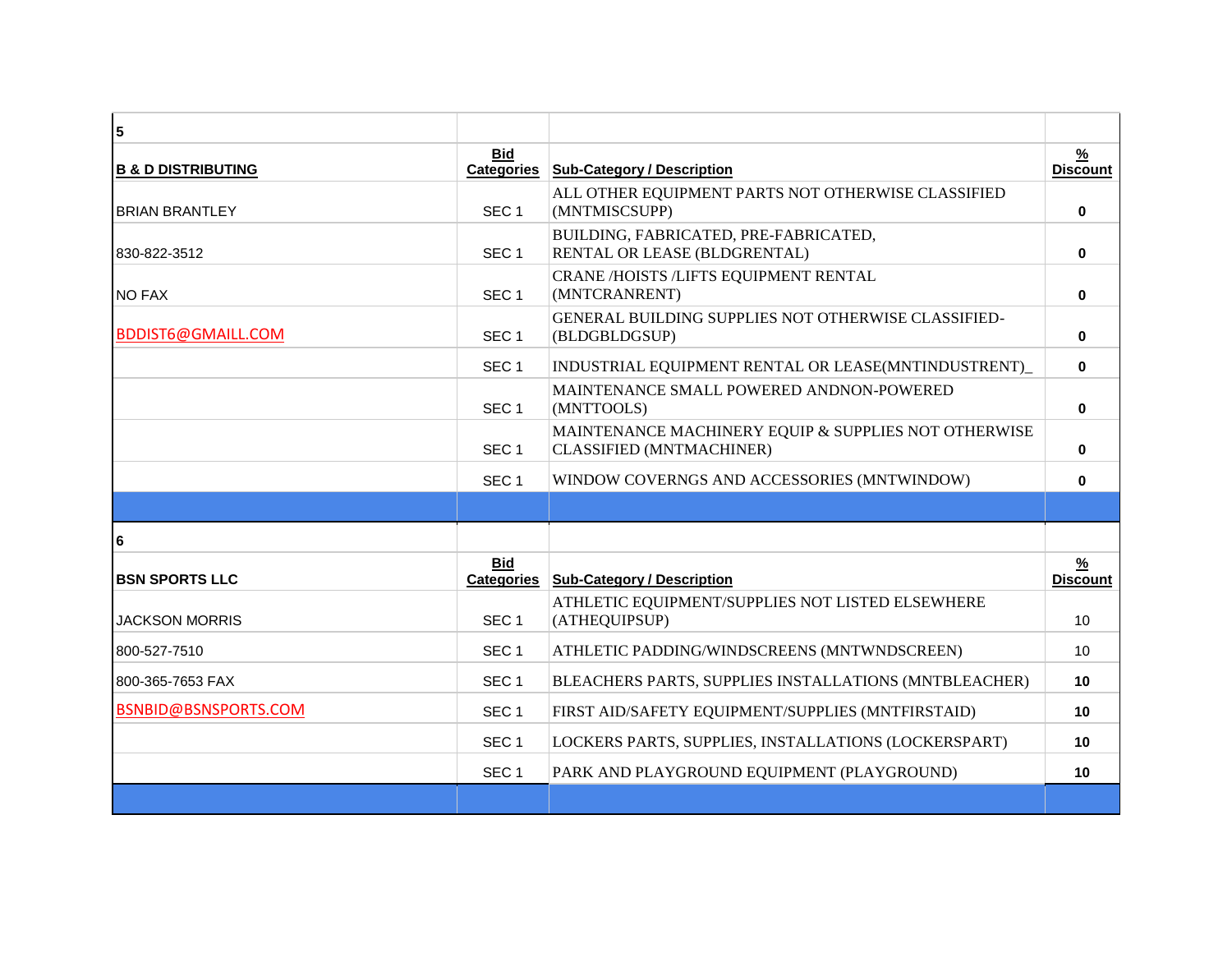| $\overline{\mathbf{5}}$       |                                 |                                                                                         |                                  |
|-------------------------------|---------------------------------|-----------------------------------------------------------------------------------------|----------------------------------|
| <b>B &amp; D DISTRIBUTING</b> | <b>Bid</b><br><b>Categories</b> | <b>Sub-Category / Description</b>                                                       | $\frac{9}{6}$<br><b>Discount</b> |
| <b>BRIAN BRANTLEY</b>         | SEC <sub>1</sub>                | ALL OTHER EQUIPMENT PARTS NOT OTHERWISE CLASSIFIED<br>(MNTMISCSUPP)                     | $\mathbf{0}$                     |
| 830-822-3512                  | SEC <sub>1</sub>                | BUILDING, FABRICATED, PRE-FABRICATED,<br>RENTAL OR LEASE (BLDGRENTAL)                   | 0                                |
| <b>NO FAX</b>                 | SEC <sub>1</sub>                | CRANE /HOISTS /LIFTS EQUIPMENT RENTAL<br>(MNTCRANRENT)                                  | 0                                |
| BDDIST6@GMAILL.COM            | SEC <sub>1</sub>                | GENERAL BUILDING SUPPLIES NOT OTHERWISE CLASSIFIED-<br>(BLDGBLDGSUP)                    | $\bf{0}$                         |
|                               | SEC <sub>1</sub>                | INDUSTRIAL EQUIPMENT RENTAL OR LEASE(MNTINDUSTRENT)                                     | $\bf{0}$                         |
|                               | SEC <sub>1</sub>                | MAINTENANCE SMALL POWERED ANDNON-POWERED<br>(MNTTOOLS)                                  | $\mathbf{0}$                     |
|                               | SEC <sub>1</sub>                | MAINTENANCE MACHINERY EQUIP & SUPPLIES NOT OTHERWISE<br><b>CLASSIFIED (MNTMACHINER)</b> | $\mathbf{0}$                     |
|                               | SEC <sub>1</sub>                | WINDOW COVERNGS AND ACCESSORIES (MNTWINDOW)                                             | 0                                |
|                               |                                 |                                                                                         |                                  |
| 6                             |                                 |                                                                                         |                                  |
| <b>BSN SPORTS LLC</b>         | <b>Bid</b><br><b>Categories</b> | <b>Sub-Category / Description</b>                                                       | $\frac{9}{6}$<br><b>Discount</b> |
| <b>JACKSON MORRIS</b>         | SEC <sub>1</sub>                | ATHLETIC EQUIPMENT/SUPPLIES NOT LISTED ELSEWHERE<br>(ATHEQUIPSUP)                       | 10                               |
| 800-527-7510                  | SEC <sub>1</sub>                | ATHLETIC PADDING/WINDSCREENS (MNTWNDSCREEN)                                             | 10                               |
| 800-365-7653 FAX              | SEC <sub>1</sub>                | BLEACHERS PARTS, SUPPLIES INSTALLATIONS (MNTBLEACHER)                                   | 10                               |
| BSNBID@BSNSPORTS.COM          | SEC <sub>1</sub>                | FIRST AID/SAFETY EQUIPMENT/SUPPLIES (MNTFIRSTAID)                                       | 10                               |
|                               | SEC <sub>1</sub>                | LOCKERS PARTS, SUPPLIES, INSTALLATIONS (LOCKERSPART)                                    | 10                               |
|                               | SEC <sub>1</sub>                | PARK AND PLAYGROUND EQUIPMENT (PLAYGROUND)                                              | 10                               |
|                               |                                 |                                                                                         |                                  |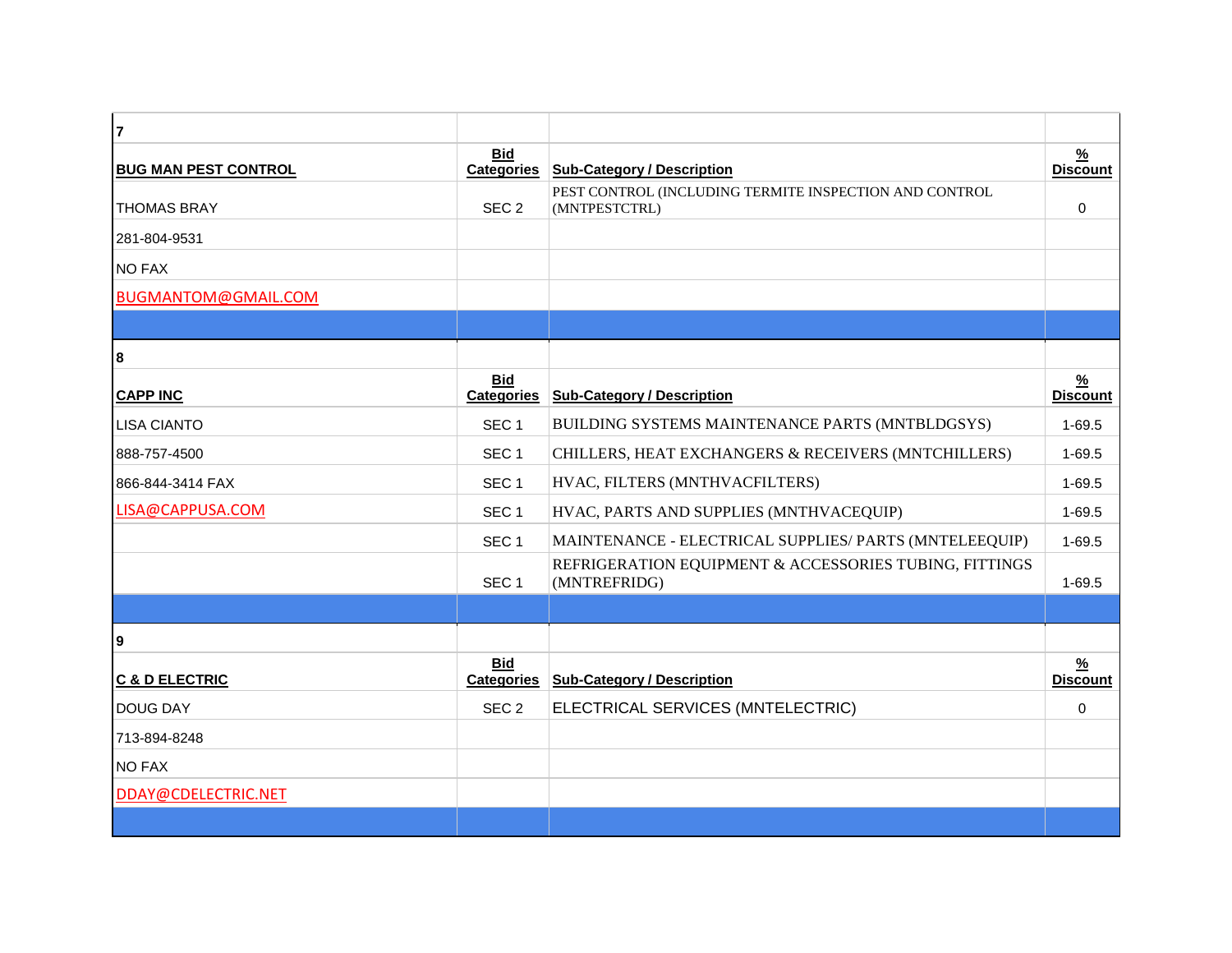| $\overline{7}$              |                                 |                                                                         |                                  |
|-----------------------------|---------------------------------|-------------------------------------------------------------------------|----------------------------------|
| <b>BUG MAN PEST CONTROL</b> | <b>Bid</b><br><b>Categories</b> | <b>Sub-Category / Description</b>                                       | $\frac{9}{6}$<br><b>Discount</b> |
| <b>THOMAS BRAY</b>          | SEC <sub>2</sub>                | PEST CONTROL (INCLUDING TERMITE INSPECTION AND CONTROL<br>(MNTPESTCTRL) | $\Omega$                         |
| 281-804-9531                |                                 |                                                                         |                                  |
| <b>NO FAX</b>               |                                 |                                                                         |                                  |
| BUGMANTOM@GMAIL.COM         |                                 |                                                                         |                                  |
|                             |                                 |                                                                         |                                  |
| 8                           |                                 |                                                                         |                                  |
| <b>CAPP INC</b>             | <b>Bid</b><br><b>Categories</b> | <b>Sub-Category / Description</b>                                       | $\frac{9}{6}$<br><b>Discount</b> |
| <b>LISA CIANTO</b>          | SEC <sub>1</sub>                | BUILDING SYSTEMS MAINTENANCE PARTS (MNTBLDGSYS)                         | $1 - 69.5$                       |
| 888-757-4500                | SEC <sub>1</sub>                | CHILLERS, HEAT EXCHANGERS & RECEIVERS (MNTCHILLERS)                     | $1 - 69.5$                       |
| 866-844-3414 FAX            | SEC <sub>1</sub>                | HVAC, FILTERS (MNTHVACFILTERS)                                          | $1 - 69.5$                       |
| LISA@CAPPUSA.COM            | SEC <sub>1</sub>                | HVAC, PARTS AND SUPPLIES (MNTHVACEQUIP)                                 | $1 - 69.5$                       |
|                             | SEC <sub>1</sub>                | MAINTENANCE - ELECTRICAL SUPPLIES/ PARTS (MNTELEEQUIP)                  | $1 - 69.5$                       |
|                             | SEC <sub>1</sub>                | REFRIGERATION EQUIPMENT & ACCESSORIES TUBING, FITTINGS<br>(MNTREFRIDG)  | $1 - 69.5$                       |
|                             |                                 |                                                                         |                                  |
| 9                           |                                 |                                                                         |                                  |
| <b>C &amp; D ELECTRIC</b>   | <b>Bid</b><br><b>Categories</b> | <b>Sub-Category / Description</b>                                       | $\frac{9}{6}$<br><b>Discount</b> |
| <b>DOUG DAY</b>             | SEC <sub>2</sub>                | ELECTRICAL SERVICES (MNTELECTRIC)                                       | 0                                |
| 713-894-8248                |                                 |                                                                         |                                  |
| <b>NO FAX</b>               |                                 |                                                                         |                                  |
| DDAY@CDELECTRIC.NET         |                                 |                                                                         |                                  |
|                             |                                 |                                                                         |                                  |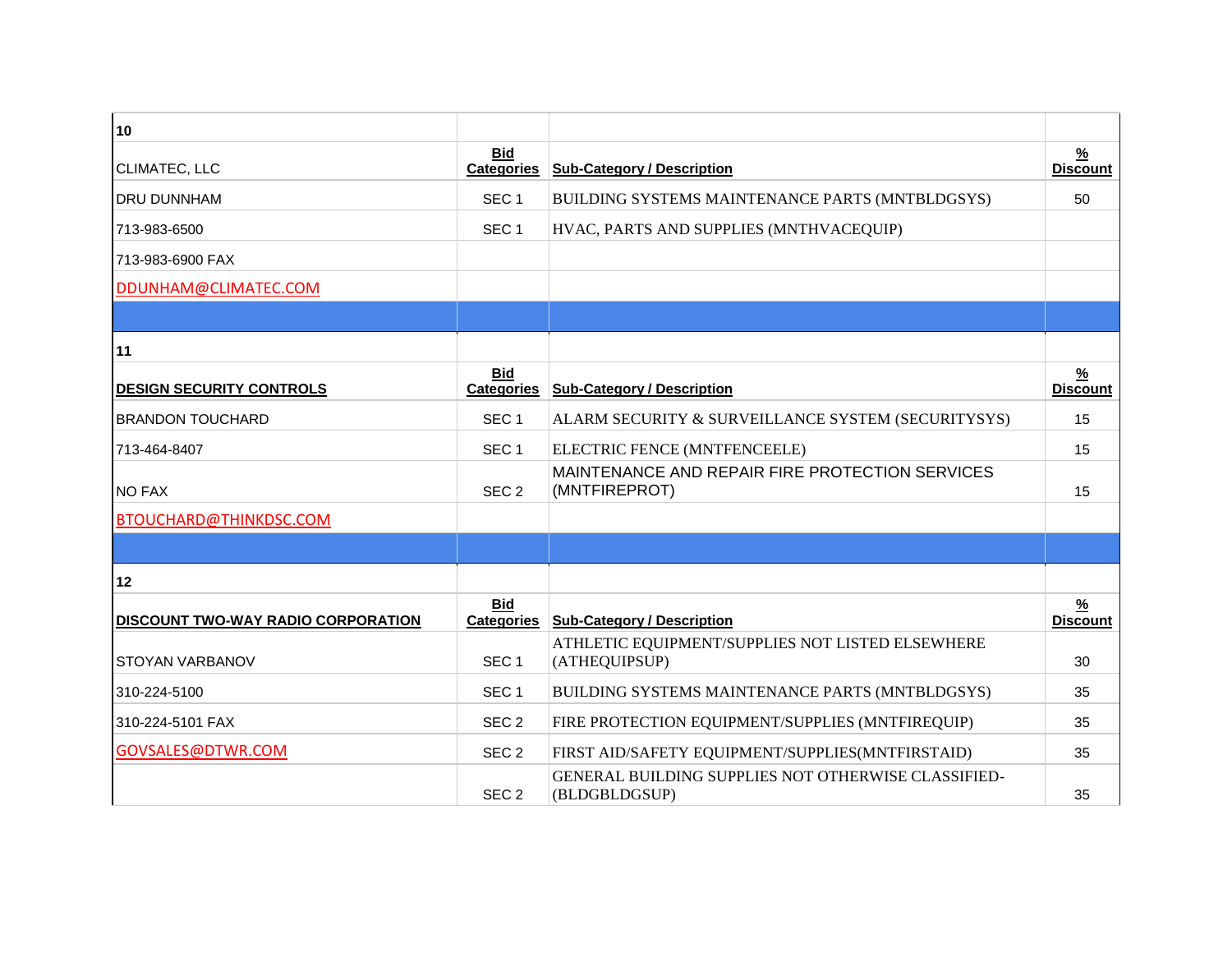| 10                                        |                                 |                                                                      |                                  |
|-------------------------------------------|---------------------------------|----------------------------------------------------------------------|----------------------------------|
| CLIMATEC, LLC                             | <b>Bid</b><br><b>Categories</b> | <b>Sub-Category / Description</b>                                    | $\frac{9}{6}$<br><b>Discount</b> |
| <b>DRU DUNNHAM</b>                        | SEC <sub>1</sub>                | BUILDING SYSTEMS MAINTENANCE PARTS (MNTBLDGSYS)                      | 50                               |
| 713-983-6500                              | SEC <sub>1</sub>                | HVAC, PARTS AND SUPPLIES (MNTHVACEQUIP)                              |                                  |
| 713-983-6900 FAX                          |                                 |                                                                      |                                  |
| DDUNHAM@CLIMATEC.COM                      |                                 |                                                                      |                                  |
|                                           |                                 |                                                                      |                                  |
| 11                                        |                                 |                                                                      |                                  |
| <b>DESIGN SECURITY CONTROLS</b>           | Bid<br><b>Categories</b>        | <b>Sub-Category / Description</b>                                    | $\frac{9}{6}$<br><b>Discount</b> |
| <b>BRANDON TOUCHARD</b>                   | SEC <sub>1</sub>                | ALARM SECURITY & SURVEILLANCE SYSTEM (SECURITYSYS)                   | 15                               |
| 713-464-8407                              | SEC <sub>1</sub>                | ELECTRIC FENCE (MNTFENCEELE)                                         | 15                               |
| <b>NO FAX</b>                             | SEC <sub>2</sub>                | MAINTENANCE AND REPAIR FIRE PROTECTION SERVICES<br>(MNTFIREPROT)     | 15                               |
| BTOUCHARD@THINKDSC.COM                    |                                 |                                                                      |                                  |
|                                           |                                 |                                                                      |                                  |
| 12                                        |                                 |                                                                      |                                  |
| <b>DISCOUNT TWO-WAY RADIO CORPORATION</b> | <b>Bid</b><br><b>Categories</b> | <b>Sub-Category / Description</b>                                    | $\frac{9}{6}$<br><b>Discount</b> |
| STOYAN VARBANOV                           | SEC <sub>1</sub>                | ATHLETIC EQUIPMENT/SUPPLIES NOT LISTED ELSEWHERE<br>(ATHEQUIPSUP)    | 30                               |
| 310-224-5100                              | SEC <sub>1</sub>                | BUILDING SYSTEMS MAINTENANCE PARTS (MNTBLDGSYS)                      | 35                               |
| 310-224-5101 FAX                          | SEC <sub>2</sub>                | FIRE PROTECTION EQUIPMENT/SUPPLIES (MNTFIREQUIP)                     | 35                               |
| GOVSALES@DTWR.COM                         | SEC <sub>2</sub>                | FIRST AID/SAFETY EQUIPMENT/SUPPLIES(MNTFIRSTAID)                     | 35                               |
|                                           | SEC <sub>2</sub>                | GENERAL BUILDING SUPPLIES NOT OTHERWISE CLASSIFIED-<br>(BLDGBLDGSUP) | 35                               |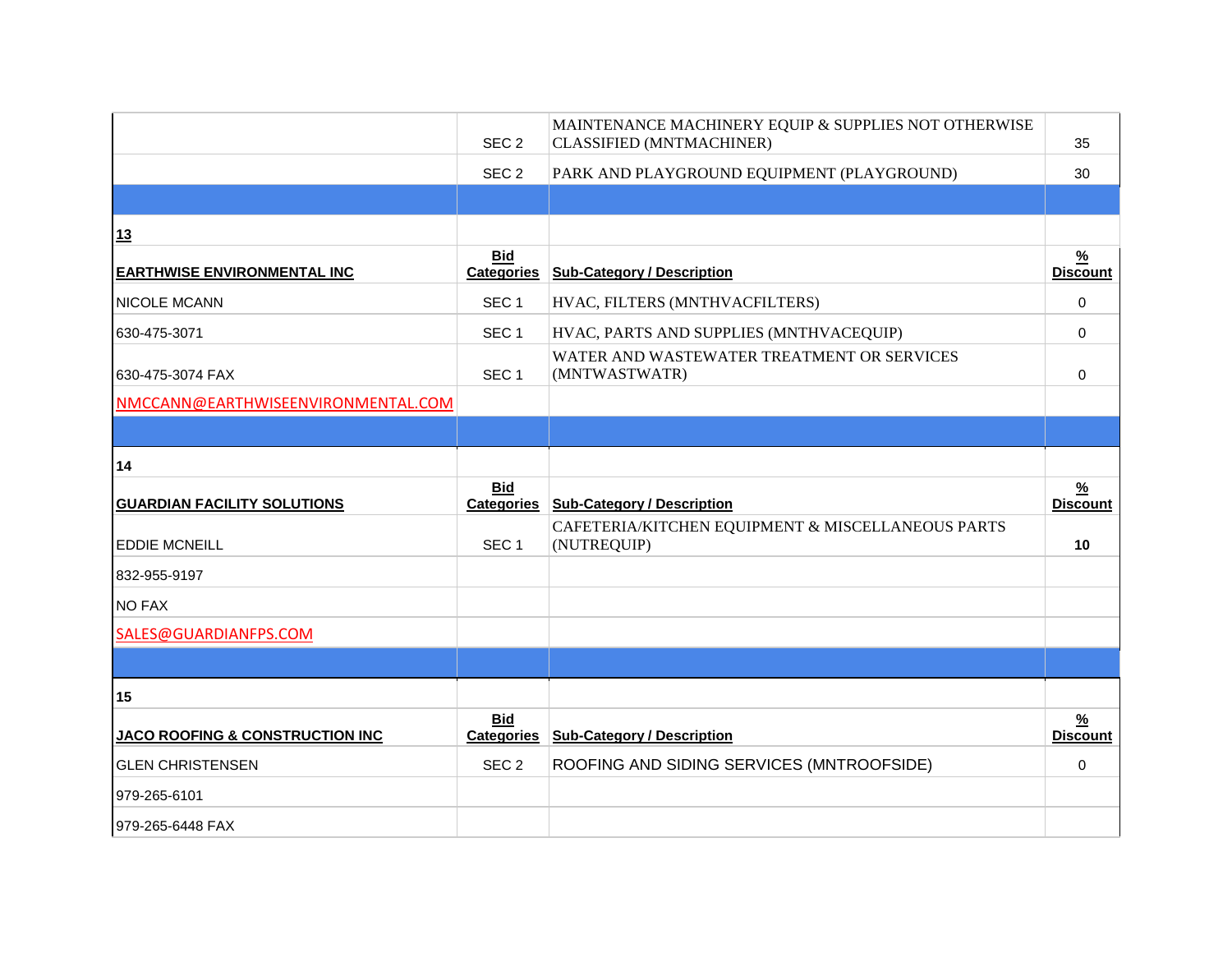|                                            | SEC <sub>2</sub>                | MAINTENANCE MACHINERY EQUIP & SUPPLIES NOT OTHERWISE<br><b>CLASSIFIED (MNTMACHINER)</b> | 35                               |
|--------------------------------------------|---------------------------------|-----------------------------------------------------------------------------------------|----------------------------------|
|                                            | SEC <sub>2</sub>                | PARK AND PLAYGROUND EQUIPMENT (PLAYGROUND)                                              | 30                               |
|                                            |                                 |                                                                                         |                                  |
| 13                                         |                                 |                                                                                         |                                  |
| <b>EARTHWISE ENVIRONMENTAL INC</b>         | <b>Bid</b><br><b>Categories</b> | <b>Sub-Category / Description</b>                                                       | $\frac{9}{6}$<br><b>Discount</b> |
| NICOLE MCANN                               | SEC <sub>1</sub>                | HVAC, FILTERS (MNTHVACFILTERS)                                                          | $\Omega$                         |
| 630-475-3071                               | SEC <sub>1</sub>                | HVAC, PARTS AND SUPPLIES (MNTHVACEQUIP)                                                 | $\mathbf 0$                      |
| 630-475-3074 FAX                           | SEC <sub>1</sub>                | WATER AND WASTEWATER TREATMENT OR SERVICES<br>(MNTWASTWATR)                             | $\Omega$                         |
| NMCCANN@EARTHWISEENVIRONMENTAL.COM         |                                 |                                                                                         |                                  |
|                                            |                                 |                                                                                         |                                  |
| 14                                         |                                 |                                                                                         |                                  |
|                                            | <b>Bid</b>                      |                                                                                         | $\frac{9}{6}$                    |
| <b>GUARDIAN FACILITY SOLUTIONS</b>         | <b>Categories</b>               | <b>Sub-Category / Description</b>                                                       | <b>Discount</b>                  |
| <b>EDDIE MCNEILL</b>                       | SEC <sub>1</sub>                | CAFETERIA/KITCHEN EQUIPMENT & MISCELLANEOUS PARTS<br>(NUTREQUIP)                        | 10                               |
| 832-955-9197                               |                                 |                                                                                         |                                  |
| <b>NO FAX</b>                              |                                 |                                                                                         |                                  |
| SALES@GUARDIANFPS.COM                      |                                 |                                                                                         |                                  |
|                                            |                                 |                                                                                         |                                  |
| 15                                         |                                 |                                                                                         |                                  |
| <b>JACO ROOFING &amp; CONSTRUCTION INC</b> | <b>Bid</b><br><b>Categories</b> | <b>Sub-Category / Description</b>                                                       | $\frac{9}{6}$<br><b>Discount</b> |
| <b>GLEN CHRISTENSEN</b>                    | SEC <sub>2</sub>                | ROOFING AND SIDING SERVICES (MNTROOFSIDE)                                               | 0                                |
| 979-265-6101                               |                                 |                                                                                         |                                  |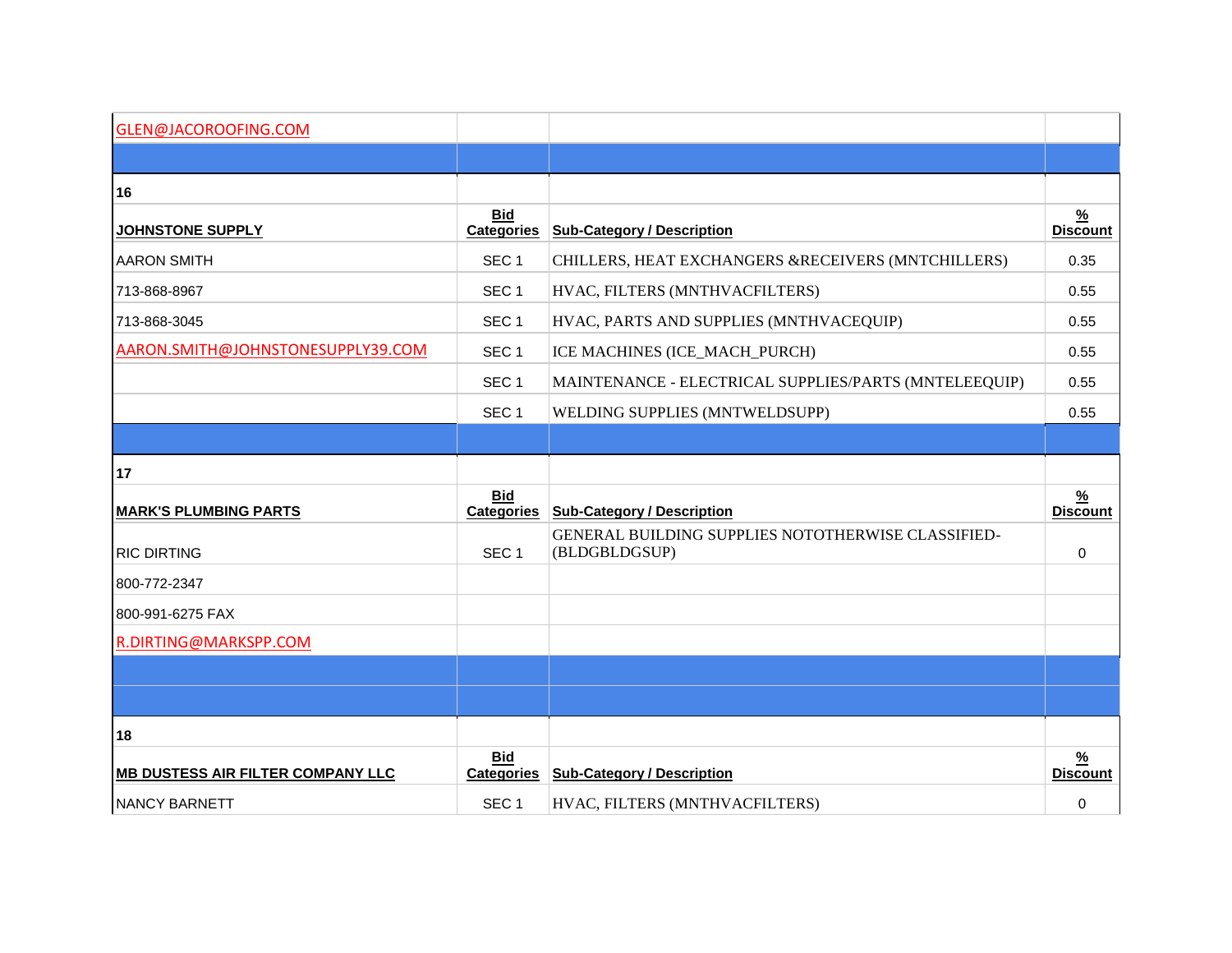| GLEN@JACOROOFING.COM                     |                                 |                                                                     |                                  |
|------------------------------------------|---------------------------------|---------------------------------------------------------------------|----------------------------------|
|                                          |                                 |                                                                     |                                  |
| 16                                       |                                 |                                                                     |                                  |
| <u>JOHNSTONE SUPPLY</u>                  | <b>Bid</b><br><b>Categories</b> | <b>Sub-Category / Description</b>                                   | $\frac{9}{6}$<br><b>Discount</b> |
| <b>AARON SMITH</b>                       | SEC <sub>1</sub>                | CHILLERS, HEAT EXCHANGERS &RECEIVERS (MNTCHILLERS)                  | 0.35                             |
| 713-868-8967                             | SEC <sub>1</sub>                | HVAC, FILTERS (MNTHVACFILTERS)                                      | 0.55                             |
| 713-868-3045                             | SEC <sub>1</sub>                | HVAC, PARTS AND SUPPLIES (MNTHVACEQUIP)                             | 0.55                             |
| AARON.SMITH@JOHNSTONESUPPLY39.COM        | SEC <sub>1</sub>                | ICE MACHINES (ICE_MACH_PURCH)                                       | 0.55                             |
|                                          | SEC <sub>1</sub>                | MAINTENANCE - ELECTRICAL SUPPLIES/PARTS (MNTELEEQUIP)               | 0.55                             |
|                                          | SEC <sub>1</sub>                | WELDING SUPPLIES (MNTWELDSUPP)                                      | 0.55                             |
|                                          |                                 |                                                                     |                                  |
| 17                                       |                                 |                                                                     |                                  |
| <b>MARK'S PLUMBING PARTS</b>             | <b>Bid</b><br><b>Categories</b> | <b>Sub-Category / Description</b>                                   | $\frac{9}{6}$<br><b>Discount</b> |
| <b>RIC DIRTING</b>                       | SEC <sub>1</sub>                | GENERAL BUILDING SUPPLIES NOTOTHERWISE CLASSIFIED-<br>(BLDGBLDGSUP) | $\mathbf 0$                      |
| 800-772-2347                             |                                 |                                                                     |                                  |
| 800-991-6275 FAX                         |                                 |                                                                     |                                  |
| R.DIRTING@MARKSPP.COM                    |                                 |                                                                     |                                  |
|                                          |                                 |                                                                     |                                  |
|                                          |                                 |                                                                     |                                  |
| 18                                       |                                 |                                                                     |                                  |
| <b>MB DUSTESS AIR FILTER COMPANY LLC</b> | <b>Bid</b><br><b>Categories</b> | <b>Sub-Category / Description</b>                                   | $\frac{9}{6}$<br><b>Discount</b> |
| <b>NANCY BARNETT</b>                     | SEC <sub>1</sub>                | HVAC, FILTERS (MNTHVACFILTERS)                                      | $\mathbf 0$                      |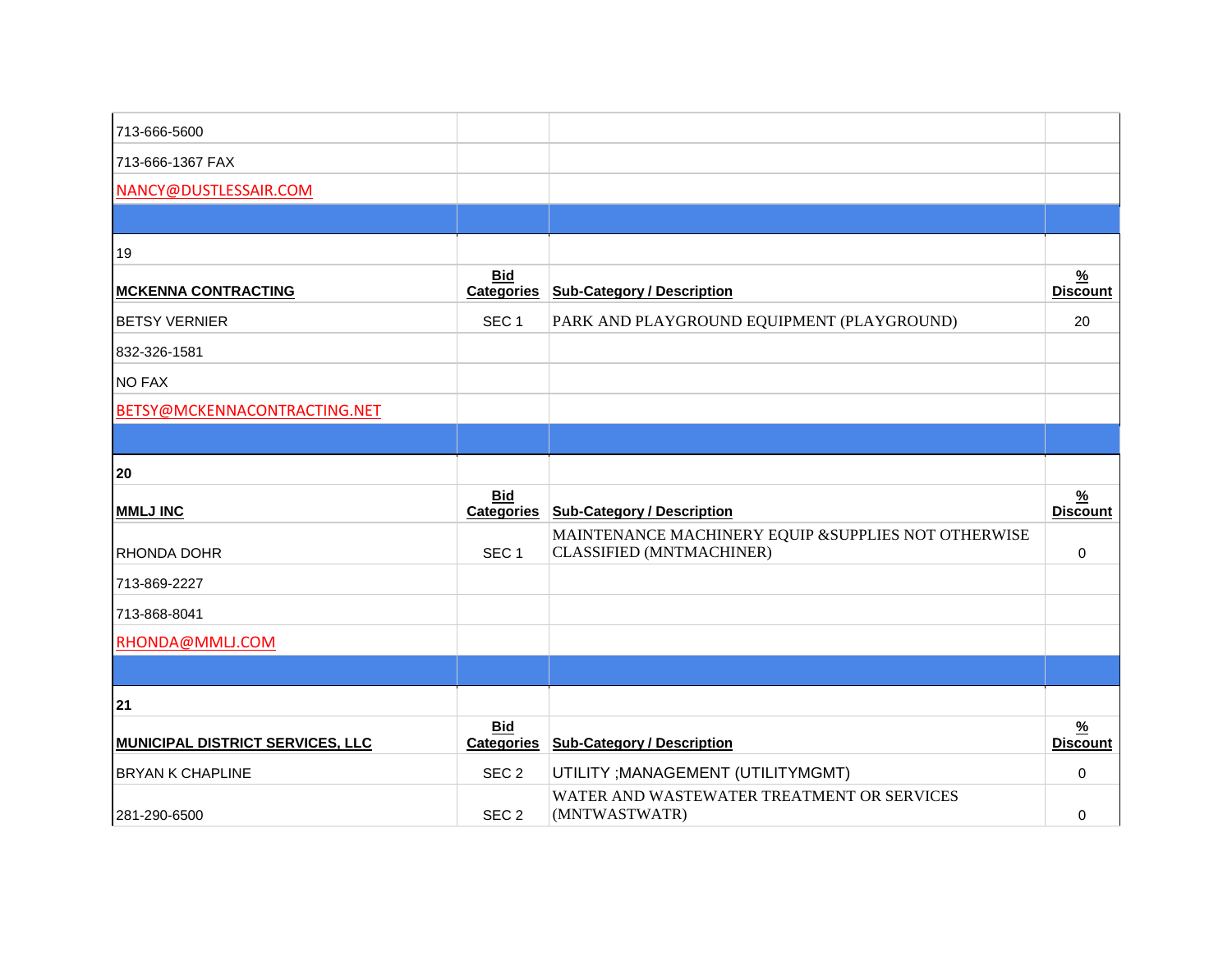| 713-666-5600                            |                                 |                                                                                  |                                  |
|-----------------------------------------|---------------------------------|----------------------------------------------------------------------------------|----------------------------------|
| 713-666-1367 FAX                        |                                 |                                                                                  |                                  |
| NANCY@DUSTLESSAIR.COM                   |                                 |                                                                                  |                                  |
|                                         |                                 |                                                                                  |                                  |
| 19                                      |                                 |                                                                                  |                                  |
| <b>MCKENNA CONTRACTING</b>              | <b>Bid</b><br><b>Categories</b> | <b>Sub-Category / Description</b>                                                | $\frac{9}{6}$<br><b>Discount</b> |
| <b>BETSY VERNIER</b>                    | SEC <sub>1</sub>                | PARK AND PLAYGROUND EQUIPMENT (PLAYGROUND)                                       | 20                               |
| 832-326-1581                            |                                 |                                                                                  |                                  |
| <b>NO FAX</b>                           |                                 |                                                                                  |                                  |
| BETSY@MCKENNACONTRACTING.NET            |                                 |                                                                                  |                                  |
|                                         |                                 |                                                                                  |                                  |
| 20                                      |                                 |                                                                                  |                                  |
| <b>MMLJ INC</b>                         | Bid<br><b>Categories</b>        | <b>Sub-Category / Description</b>                                                | $\frac{9}{6}$<br><b>Discount</b> |
| RHONDA DOHR                             | SEC <sub>1</sub>                | MAINTENANCE MACHINERY EQUIP & SUPPLIES NOT OTHERWISE<br>CLASSIFIED (MNTMACHINER) | 0                                |
| 713-869-2227                            |                                 |                                                                                  |                                  |
| 713-868-8041                            |                                 |                                                                                  |                                  |
| RHONDA@MMLJ.COM                         |                                 |                                                                                  |                                  |
|                                         |                                 |                                                                                  |                                  |
| 21                                      |                                 |                                                                                  |                                  |
| <b>MUNICIPAL DISTRICT SERVICES, LLC</b> | <b>Bid</b><br><b>Categories</b> | <b>Sub-Category / Description</b>                                                | $\frac{9}{6}$<br><b>Discount</b> |
| <b>BRYAN K CHAPLINE</b>                 | SEC <sub>2</sub>                | UTILITY ; MANAGEMENT (UTILITYMGMT)                                               | 0                                |
| 281-290-6500                            | SEC <sub>2</sub>                | WATER AND WASTEWATER TREATMENT OR SERVICES<br>(MNTWASTWATR)                      | 0                                |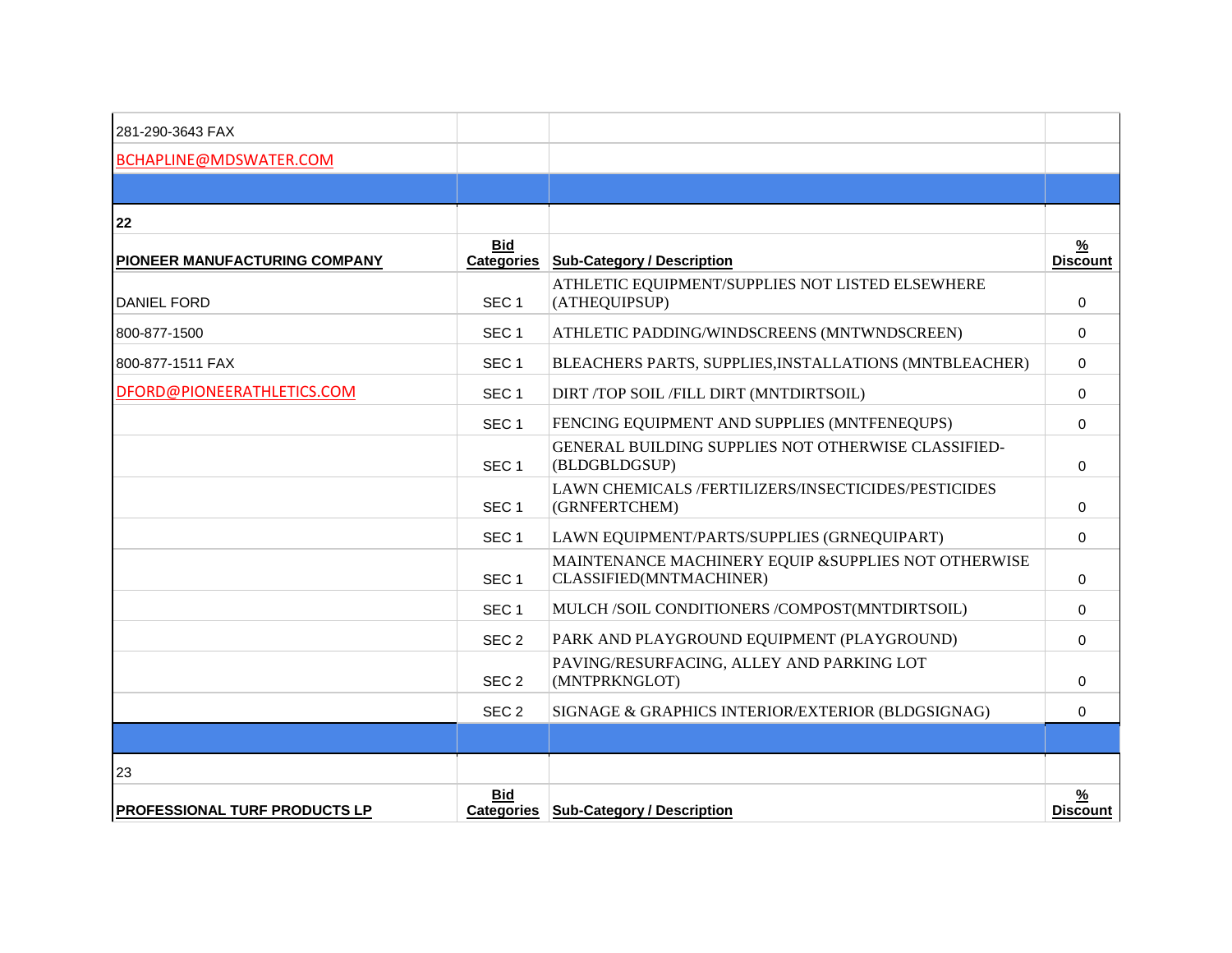| 281-290-3643 FAX                     |                  |                                                                                 |                                  |
|--------------------------------------|------------------|---------------------------------------------------------------------------------|----------------------------------|
| BCHAPLINE@MDSWATER.COM               |                  |                                                                                 |                                  |
|                                      |                  |                                                                                 |                                  |
| 22                                   |                  |                                                                                 |                                  |
| PIONEER MANUFACTURING COMPANY        | <b>Bid</b>       | Categories Sub-Category / Description                                           | <u>%</u><br><b>Discount</b>      |
| <b>DANIEL FORD</b>                   | SEC <sub>1</sub> | ATHLETIC EQUIPMENT/SUPPLIES NOT LISTED ELSEWHERE<br>(ATHEQUIPSUP)               | $\Omega$                         |
| 800-877-1500                         | SEC <sub>1</sub> | ATHLETIC PADDING/WINDSCREENS (MNTWNDSCREEN)                                     | $\Omega$                         |
| 800-877-1511 FAX                     | SEC <sub>1</sub> | BLEACHERS PARTS, SUPPLIES, INSTALLATIONS (MNTBLEACHER)                          | $\mathbf{0}$                     |
| DFORD@PIONEERATHLETICS.COM           | SEC <sub>1</sub> | DIRT /TOP SOIL /FILL DIRT (MNTDIRTSOIL)                                         | $\Omega$                         |
|                                      | SEC <sub>1</sub> | FENCING EQUIPMENT AND SUPPLIES (MNTFENEQUPS)                                    | $\Omega$                         |
|                                      | SEC <sub>1</sub> | GENERAL BUILDING SUPPLIES NOT OTHERWISE CLASSIFIED-<br>(BLDGBLDGSUP)            | $\Omega$                         |
|                                      | SEC <sub>1</sub> | LAWN CHEMICALS /FERTILIZERS/INSECTICIDES/PESTICIDES<br>(GRNFERTCHEM)            | $\Omega$                         |
|                                      | SEC <sub>1</sub> | LAWN EQUIPMENT/PARTS/SUPPLIES (GRNEQUIPART)                                     | $\Omega$                         |
|                                      | SEC <sub>1</sub> | MAINTENANCE MACHINERY EQUIP & SUPPLIES NOT OTHERWISE<br>CLASSIFIED(MNTMACHINER) | $\Omega$                         |
|                                      | SEC <sub>1</sub> | MULCH /SOIL CONDITIONERS /COMPOST(MNTDIRTSOIL)                                  | $\Omega$                         |
|                                      | SEC <sub>2</sub> | PARK AND PLAYGROUND EQUIPMENT (PLAYGROUND)                                      | $\Omega$                         |
|                                      | SEC <sub>2</sub> | PAVING/RESURFACING, ALLEY AND PARKING LOT<br>(MNTPRKNGLOT)                      | $\Omega$                         |
|                                      | SEC <sub>2</sub> | SIGNAGE & GRAPHICS INTERIOR/EXTERIOR (BLDGSIGNAG)                               | $\Omega$                         |
|                                      |                  |                                                                                 |                                  |
| 23                                   |                  |                                                                                 |                                  |
| <b>PROFESSIONAL TURF PRODUCTS LP</b> | <b>Bid</b>       | Categories   Sub-Category / Description                                         | $\frac{9}{6}$<br><b>Discount</b> |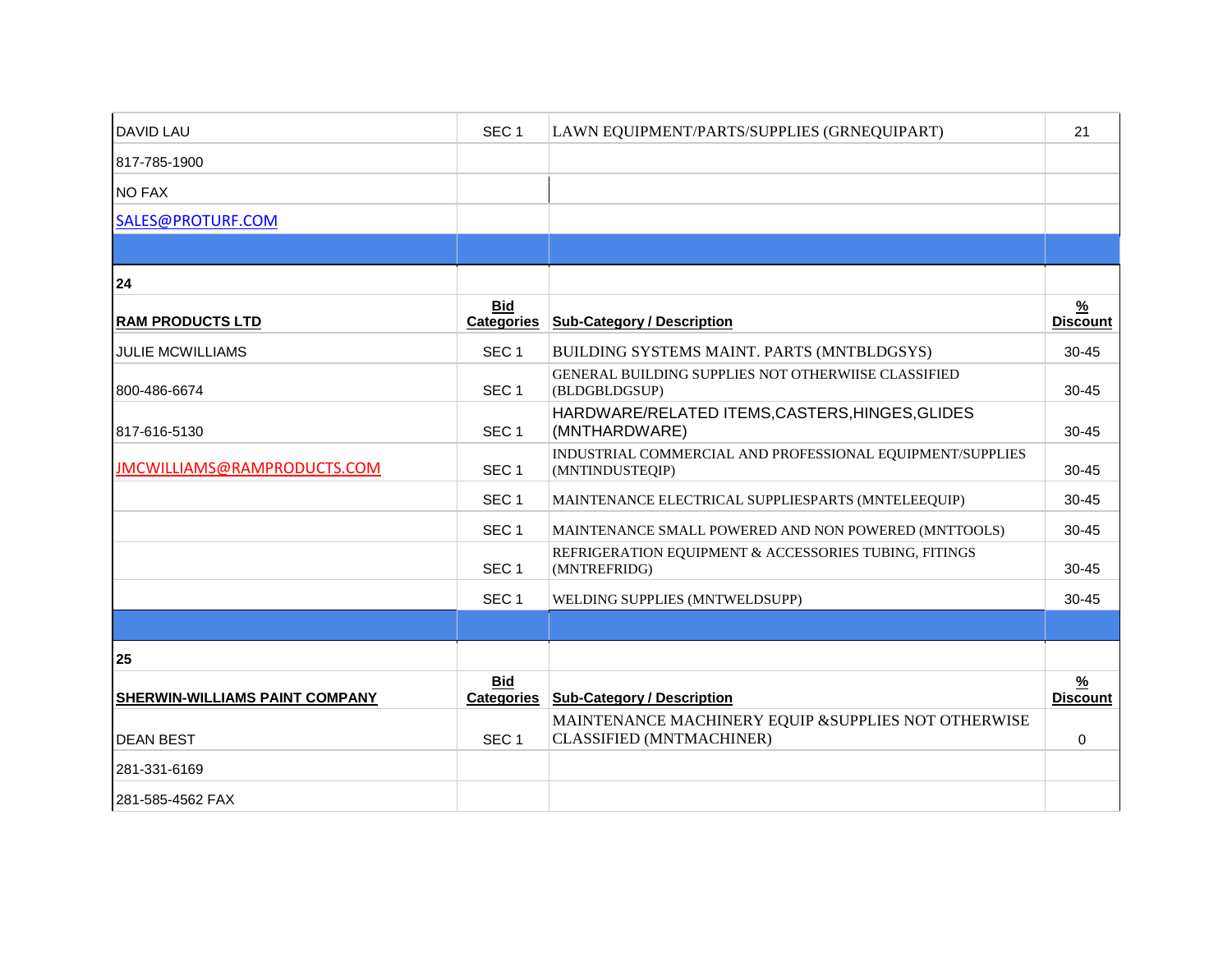| <b>DAVID LAU</b>               | SEC <sub>1</sub>                | LAWN EQUIPMENT/PARTS/SUPPLIES (GRNEQUIPART)                                      | 21                               |
|--------------------------------|---------------------------------|----------------------------------------------------------------------------------|----------------------------------|
| 817-785-1900                   |                                 |                                                                                  |                                  |
| <b>NO FAX</b>                  |                                 |                                                                                  |                                  |
| SALES@PROTURF.COM              |                                 |                                                                                  |                                  |
|                                |                                 |                                                                                  |                                  |
| 24                             |                                 |                                                                                  |                                  |
| <b>RAM PRODUCTS LTD</b>        | <b>Bid</b><br><b>Categories</b> | <b>Sub-Category / Description</b>                                                | $\frac{9}{6}$<br><b>Discount</b> |
| <b>JULIE MCWILLIAMS</b>        | SEC <sub>1</sub>                | BUILDING SYSTEMS MAINT. PARTS (MNTBLDGSYS)                                       | $30 - 45$                        |
| 800-486-6674                   | SEC <sub>1</sub>                | GENERAL BUILDING SUPPLIES NOT OTHERWIISE CLASSIFIED<br>(BLDGBLDGSUP)             | $30 - 45$                        |
| 817-616-5130                   | SEC <sub>1</sub>                | HARDWARE/RELATED ITEMS, CASTERS, HINGES, GLIDES<br>(MNTHARDWARE)                 | $30 - 45$                        |
| JMCWILLIAMS@RAMPRODUCTS.COM    | SEC <sub>1</sub>                | INDUSTRIAL COMMERCIAL AND PROFESSIONAL EQUIPMENT/SUPPLIES<br>(MNTINDUSTEQIP)     | $30 - 45$                        |
|                                | SEC <sub>1</sub>                | MAINTENANCE ELECTRICAL SUPPLIESPARTS (MNTELEEQUIP)                               | $30 - 45$                        |
|                                | SEC <sub>1</sub>                | MAINTENANCE SMALL POWERED AND NON POWERED (MNTTOOLS)                             | $30 - 45$                        |
|                                | SEC <sub>1</sub>                | REFRIGERATION EQUIPMENT & ACCESSORIES TUBING, FITINGS<br>(MNTREFRIDG)            | $30 - 45$                        |
|                                | SEC <sub>1</sub>                | WELDING SUPPLIES (MNTWELDSUPP)                                                   | $30 - 45$                        |
|                                |                                 |                                                                                  |                                  |
| 25                             |                                 |                                                                                  |                                  |
| SHERWIN-WILLIAMS PAINT COMPANY | <b>Bid</b><br><b>Categories</b> | <b>Sub-Category / Description</b>                                                | $\frac{9}{6}$<br><b>Discount</b> |
| <b>DEAN BEST</b>               | SEC <sub>1</sub>                | MAINTENANCE MACHINERY EQUIP & SUPPLIES NOT OTHERWISE<br>CLASSIFIED (MNTMACHINER) | 0                                |
| 281-331-6169                   |                                 |                                                                                  |                                  |
| 281-585-4562 FAX               |                                 |                                                                                  |                                  |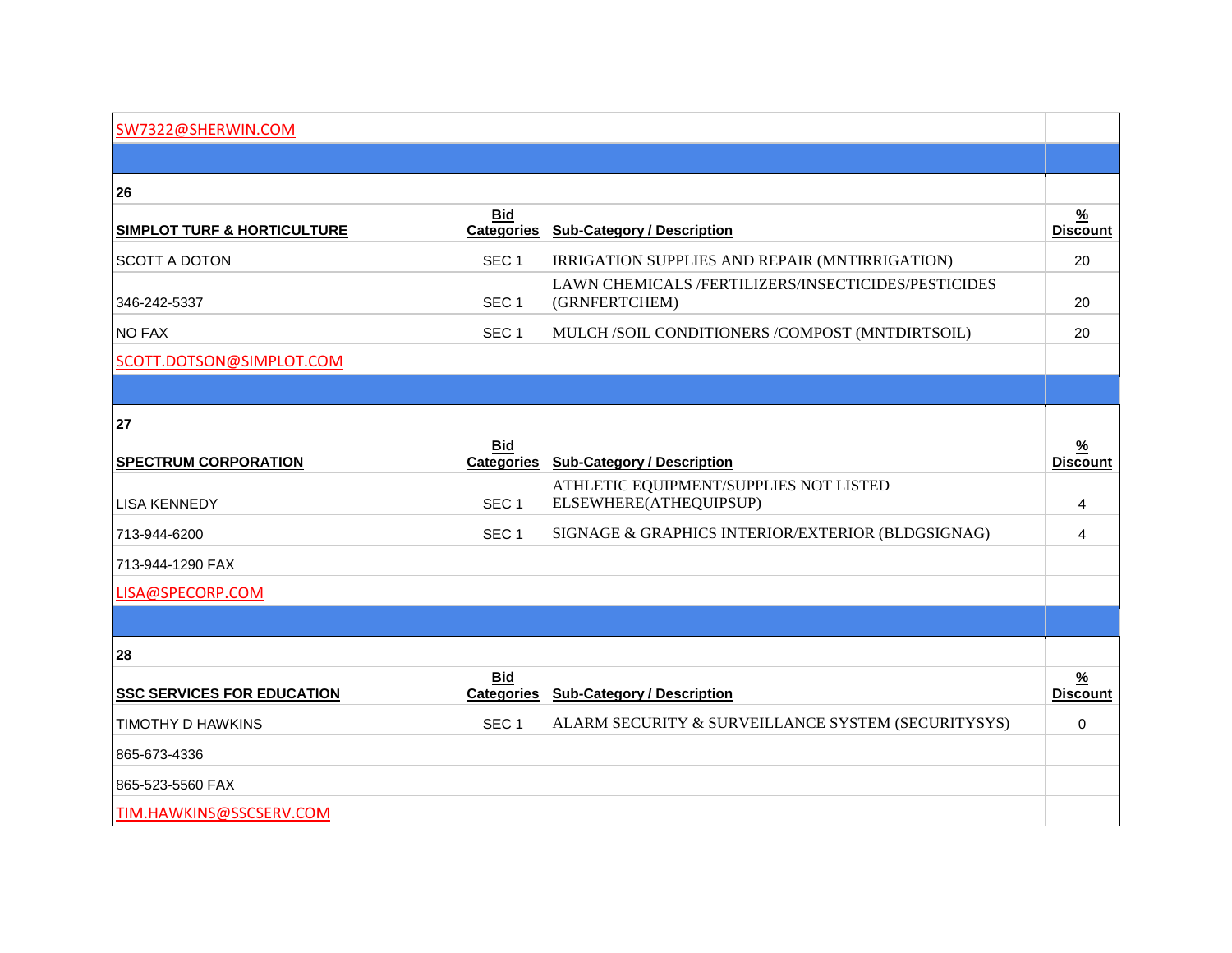| SW7322@SHERWIN.COM                     |                                 |                                                                      |                                  |
|----------------------------------------|---------------------------------|----------------------------------------------------------------------|----------------------------------|
|                                        |                                 |                                                                      |                                  |
| 26                                     |                                 |                                                                      |                                  |
| <b>SIMPLOT TURF &amp; HORTICULTURE</b> | <b>Bid</b><br><b>Categories</b> | <b>Sub-Category / Description</b>                                    | $\frac{9}{6}$<br><b>Discount</b> |
| <b>SCOTT A DOTON</b>                   | SEC <sub>1</sub>                | IRRIGATION SUPPLIES AND REPAIR (MNTIRRIGATION)                       | 20                               |
| 346-242-5337                           | SEC <sub>1</sub>                | LAWN CHEMICALS /FERTILIZERS/INSECTICIDES/PESTICIDES<br>(GRNFERTCHEM) | 20                               |
| <b>NO FAX</b>                          | SEC <sub>1</sub>                | MULCH /SOIL CONDITIONERS /COMPOST (MNTDIRTSOIL)                      | 20                               |
| SCOTT.DOTSON@SIMPLOT.COM               |                                 |                                                                      |                                  |
|                                        |                                 |                                                                      |                                  |
| 27                                     |                                 |                                                                      |                                  |
| <b>SPECTRUM CORPORATION</b>            | <b>Bid</b><br><b>Categories</b> | <b>Sub-Category / Description</b>                                    | $\frac{9}{6}$<br><b>Discount</b> |
| <b>LISA KENNEDY</b>                    | SEC <sub>1</sub>                | ATHLETIC EQUIPMENT/SUPPLIES NOT LISTED<br>ELSEWHERE(ATHEQUIPSUP)     | 4                                |
| 713-944-6200                           | SEC <sub>1</sub>                | SIGNAGE & GRAPHICS INTERIOR/EXTERIOR (BLDGSIGNAG)                    | 4                                |
| 713-944-1290 FAX                       |                                 |                                                                      |                                  |
| LISA@SPECORP.COM                       |                                 |                                                                      |                                  |
|                                        |                                 |                                                                      |                                  |
| 28                                     |                                 |                                                                      |                                  |
| <b>SSC SERVICES FOR EDUCATION</b>      | Bid<br><b>Categories</b>        | <b>Sub-Category / Description</b>                                    | $\frac{9}{6}$<br><b>Discount</b> |
| <b>TIMOTHY D HAWKINS</b>               | SEC <sub>1</sub>                | ALARM SECURITY & SURVEILLANCE SYSTEM (SECURITYSYS)                   | 0                                |
| 865-673-4336                           |                                 |                                                                      |                                  |
| 865-523-5560 FAX                       |                                 |                                                                      |                                  |
| TIM.HAWKINS@SSCSERV.COM                |                                 |                                                                      |                                  |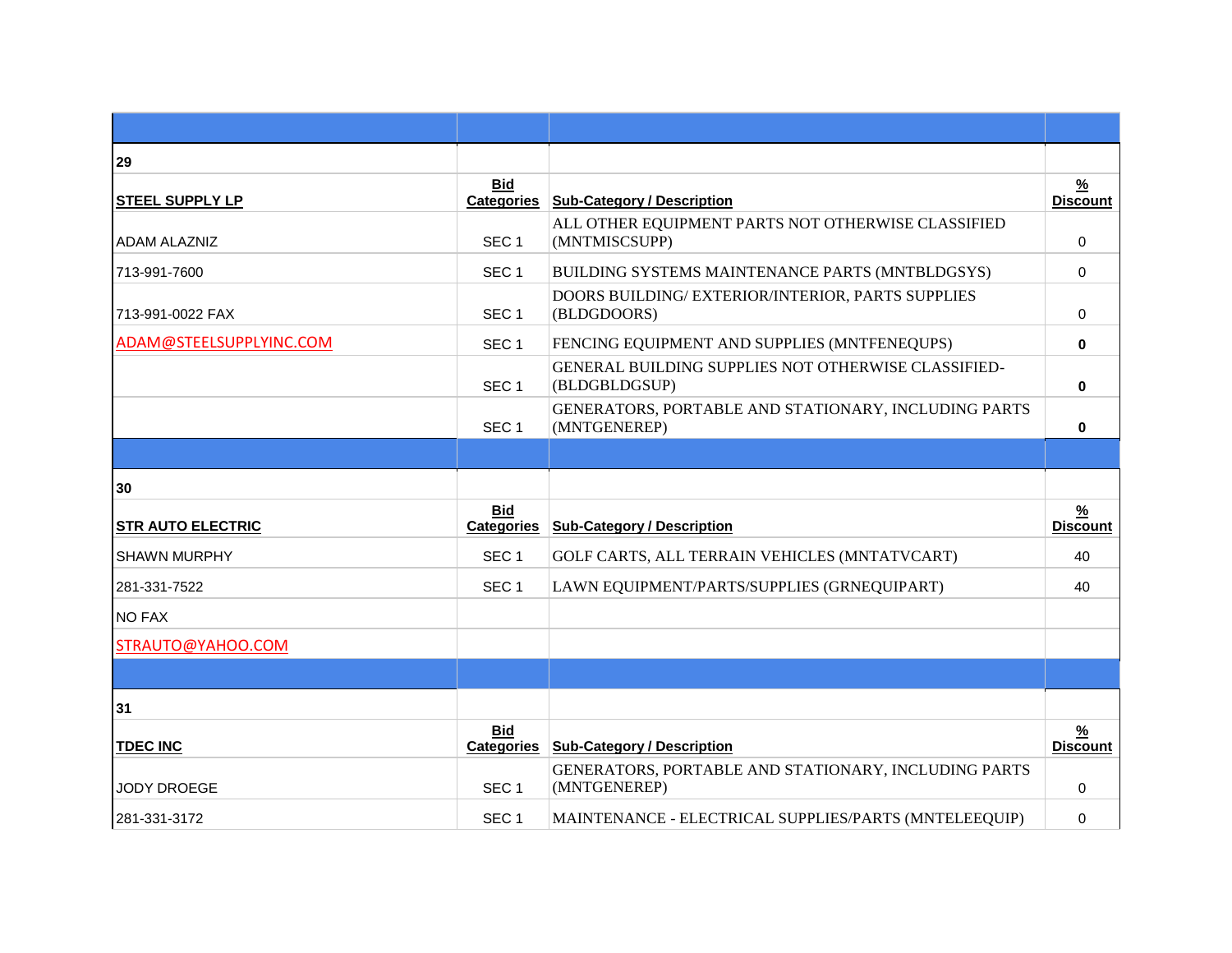| 29                       |                                 |                                                                      |                                  |
|--------------------------|---------------------------------|----------------------------------------------------------------------|----------------------------------|
| <b>STEEL SUPPLY LP</b>   | <b>Bid</b><br><b>Categories</b> | <b>Sub-Category / Description</b>                                    | $\frac{9}{6}$<br><b>Discount</b> |
| <b>ADAM ALAZNIZ</b>      | SEC <sub>1</sub>                | ALL OTHER EQUIPMENT PARTS NOT OTHERWISE CLASSIFIED<br>(MNTMISCSUPP)  | $\mathbf 0$                      |
| 713-991-7600             | SEC <sub>1</sub>                | BUILDING SYSTEMS MAINTENANCE PARTS (MNTBLDGSYS)                      | $\mathbf 0$                      |
| 713-991-0022 FAX         | SEC <sub>1</sub>                | DOORS BUILDING/ EXTERIOR/INTERIOR, PARTS SUPPLIES<br>(BLDGDOORS)     | $\Omega$                         |
| ADAM@STEELSUPPLYINC.COM  | SEC <sub>1</sub>                | FENCING EQUIPMENT AND SUPPLIES (MNTFENEQUPS)                         | $\bf{0}$                         |
|                          | SEC <sub>1</sub>                | GENERAL BUILDING SUPPLIES NOT OTHERWISE CLASSIFIED-<br>(BLDGBLDGSUP) | $\bf{0}$                         |
|                          | SEC <sub>1</sub>                | GENERATORS, PORTABLE AND STATIONARY, INCLUDING PARTS<br>(MNTGENEREP) | 0                                |
|                          |                                 |                                                                      |                                  |
| 30                       |                                 |                                                                      |                                  |
| <b>STR AUTO ELECTRIC</b> | <b>Bid</b><br><b>Categories</b> | <b>Sub-Category / Description</b>                                    | $\frac{9}{6}$<br><b>Discount</b> |
| <b>SHAWN MURPHY</b>      | SEC <sub>1</sub>                | GOLF CARTS, ALL TERRAIN VEHICLES (MNTATVCART)                        | 40                               |
| 281-331-7522             | SEC <sub>1</sub>                | LAWN EQUIPMENT/PARTS/SUPPLIES (GRNEQUIPART)                          | 40                               |
| <b>NO FAX</b>            |                                 |                                                                      |                                  |
| STRAUTO@YAHOO.COM        |                                 |                                                                      |                                  |
|                          |                                 |                                                                      |                                  |
| 31                       |                                 |                                                                      |                                  |
| <b>TDEC INC</b>          | <b>Bid</b><br><b>Categories</b> | <b>Sub-Category / Description</b>                                    | $\frac{9}{6}$<br><b>Discount</b> |
|                          |                                 |                                                                      |                                  |
| <b>JODY DROEGE</b>       | SEC <sub>1</sub>                | GENERATORS, PORTABLE AND STATIONARY, INCLUDING PARTS<br>(MNTGENEREP) | 0                                |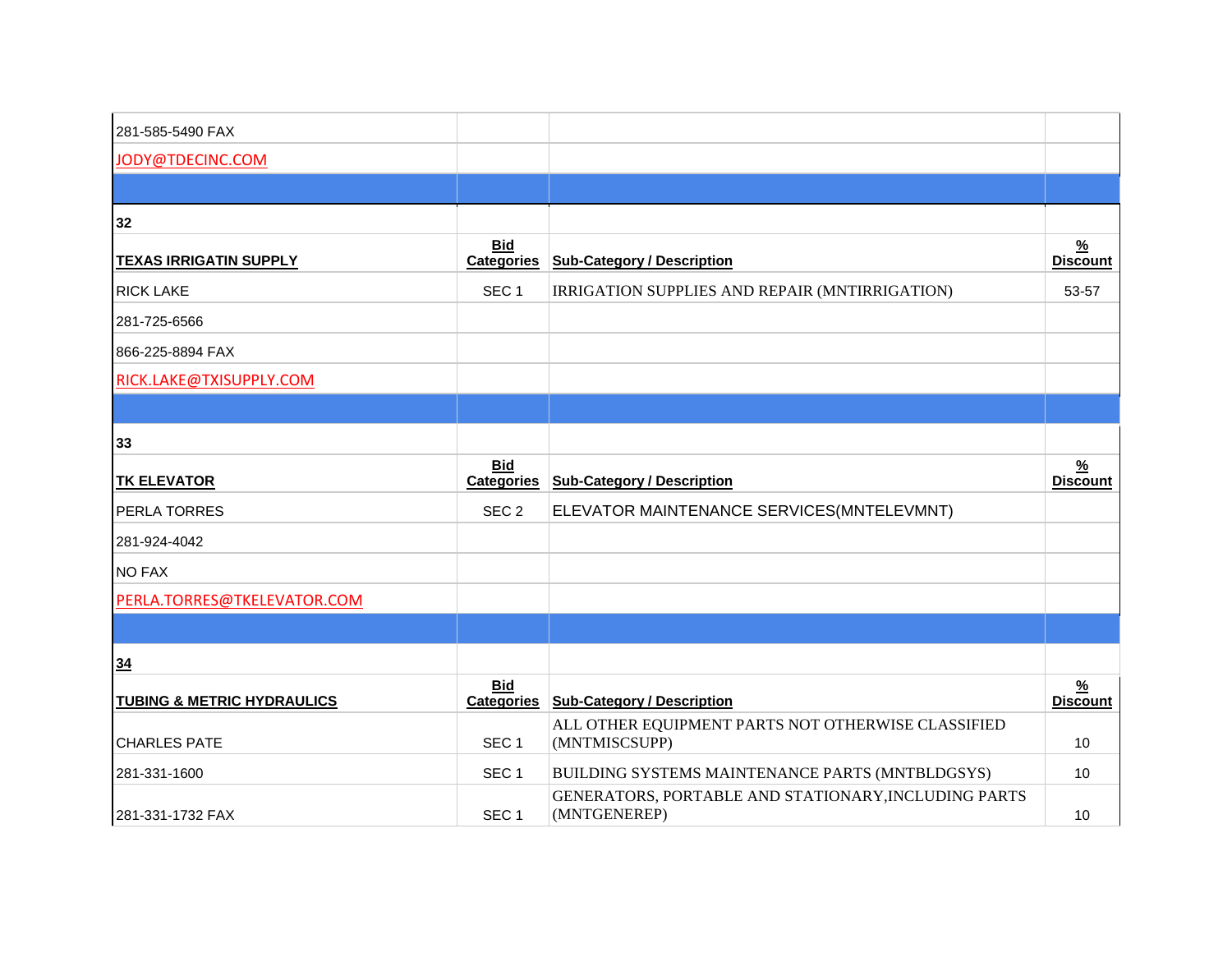| 281-585-5490 FAX                      |                                 |                                                                      |                                  |
|---------------------------------------|---------------------------------|----------------------------------------------------------------------|----------------------------------|
| JODY@TDECINC.COM                      |                                 |                                                                      |                                  |
|                                       |                                 |                                                                      |                                  |
| 32                                    |                                 |                                                                      |                                  |
| <b>TEXAS IRRIGATIN SUPPLY</b>         | <b>Bid</b><br><b>Categories</b> | <b>Sub-Category / Description</b>                                    | <u>%</u><br><b>Discount</b>      |
| <b>RICK LAKE</b>                      | SEC <sub>1</sub>                | IRRIGATION SUPPLIES AND REPAIR (MNTIRRIGATION)                       | 53-57                            |
| 281-725-6566                          |                                 |                                                                      |                                  |
| 866-225-8894 FAX                      |                                 |                                                                      |                                  |
| RICK.LAKE@TXISUPPLY.COM               |                                 |                                                                      |                                  |
|                                       |                                 |                                                                      |                                  |
| 33                                    |                                 |                                                                      |                                  |
| <b>TK ELEVATOR</b>                    | <b>Bid</b><br><b>Categories</b> | <b>Sub-Category / Description</b>                                    | $\frac{9}{6}$<br><b>Discount</b> |
| <b>PERLA TORRES</b>                   | SEC <sub>2</sub>                | ELEVATOR MAINTENANCE SERVICES(MNTELEVMNT)                            |                                  |
| 281-924-4042                          |                                 |                                                                      |                                  |
| <b>NO FAX</b>                         |                                 |                                                                      |                                  |
| PERLA.TORRES@TKELEVATOR.COM           |                                 |                                                                      |                                  |
|                                       |                                 |                                                                      |                                  |
| 34                                    |                                 |                                                                      |                                  |
| <b>TUBING &amp; METRIC HYDRAULICS</b> | <b>Bid</b><br><b>Categories</b> | <b>Sub-Category / Description</b>                                    | <u>%</u><br><b>Discount</b>      |
| <b>CHARLES PATE</b>                   | SEC <sub>1</sub>                | ALL OTHER EQUIPMENT PARTS NOT OTHERWISE CLASSIFIED<br>(MNTMISCSUPP)  | 10                               |
| 281-331-1600                          | SEC <sub>1</sub>                | BUILDING SYSTEMS MAINTENANCE PARTS (MNTBLDGSYS)                      | 10                               |
| 281-331-1732 FAX                      | SEC <sub>1</sub>                | GENERATORS, PORTABLE AND STATIONARY, INCLUDING PARTS<br>(MNTGENEREP) | 10                               |